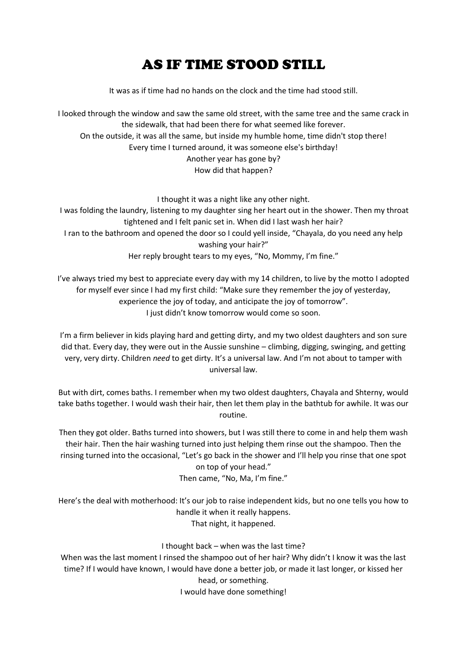## AS IF TIME STOOD STILL

It was as if time had no hands on the clock and the time had stood still.

I looked through the window and saw the same old street, with the same tree and the same crack in the sidewalk, that had been there for what seemed like forever. On the outside, it was all the same, but inside my humble home, time didn't stop there! Every time I turned around, it was someone else's birthday! Another year has gone by? How did that happen?

I thought it was a night like any other night. I was folding the laundry, listening to my daughter sing her heart out in the shower. Then my throat tightened and I felt panic set in. When did I last wash her hair? I ran to the bathroom and opened the door so I could yell inside, "Chayala, do you need any help washing your hair?" Her reply brought tears to my eyes, "No, Mommy, I'm fine."

I've always tried my best to appreciate every day with my 14 children, to live by the motto I adopted for myself ever since I had my first child: "Make sure they remember the joy of yesterday, experience the joy of today, and anticipate the joy of tomorrow". I just didn't know tomorrow would come so soon.

I'm a firm believer in kids playing hard and getting dirty, and my two oldest daughters and son sure did that. Every day, they were out in the Aussie sunshine – climbing, digging, swinging, and getting very, very dirty. Children *need* to get dirty. It's a universal law. And I'm not about to tamper with universal law.

But with dirt, comes baths. I remember when my two oldest daughters, Chayala and Shterny, would take baths together. I would wash their hair, then let them play in the bathtub for awhile. It was our routine.

Then they got older. Baths turned into showers, but I was still there to come in and help them wash their hair. Then the hair washing turned into just helping them rinse out the shampoo. Then the rinsing turned into the occasional, "Let's go back in the shower and I'll help you rinse that one spot on top of your head."

Then came, "No, Ma, I'm fine."

Here's the deal with motherhood: It's our job to raise independent kids, but no one tells you how to handle it when it really happens. That night, it happened.

## I thought back – when was the last time?

When was the last moment I rinsed the shampoo out of her hair? Why didn't I know it was the last time? If I would have known, I would have done a better job, or made it last longer, or kissed her head, or something. I would have done something!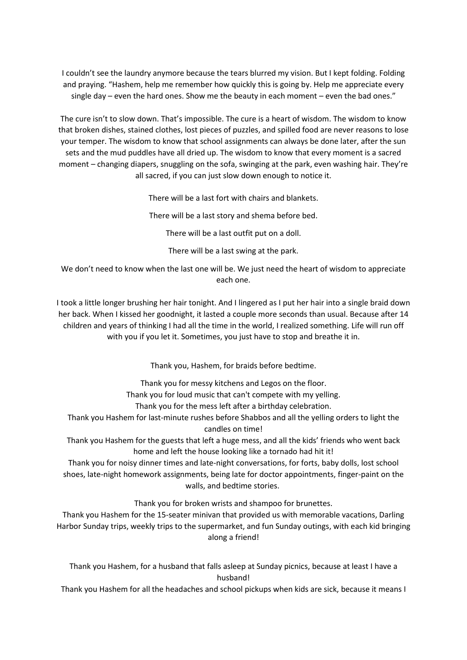I couldn't see the laundry anymore because the tears blurred my vision. But I kept folding. Folding and praying. "Hashem, help me remember how quickly this is going by. Help me appreciate every single day – even the hard ones. Show me the beauty in each moment – even the bad ones."

The cure isn't to slow down. That's impossible. The cure is a heart of wisdom. The wisdom to know that broken dishes, stained clothes, lost pieces of puzzles, and spilled food are never reasons to lose your temper. The wisdom to know that school assignments can always be done later, after the sun sets and the mud puddles have all dried up. The wisdom to know that every moment is a sacred moment – changing diapers, snuggling on the sofa, swinging at the park, even washing hair. They're all sacred, if you can just slow down enough to notice it.

There will be a last fort with chairs and blankets.

There will be a last story and shema before bed.

There will be a last outfit put on a doll.

There will be a last swing at the park.

We don't need to know when the last one will be. We just need the heart of wisdom to appreciate each one.

I took a little longer brushing her hair tonight. And I lingered as I put her hair into a single braid down her back. When I kissed her goodnight, it lasted a couple more seconds than usual. Because after 14 children and years of thinking I had all the time in the world, I realized something. Life will run off with you if you let it. Sometimes, you just have to stop and breathe it in.

Thank you, Hashem, for braids before bedtime.

Thank you for messy kitchens and Legos on the floor.

Thank you for loud music that can't compete with my yelling.

Thank you for the mess left after a birthday celebration.

Thank you Hashem for last-minute rushes before Shabbos and all the yelling orders to light the

candles on time!

Thank you Hashem for the guests that left a huge mess, and all the kids' friends who went back home and left the house looking like a tornado had hit it!

Thank you for noisy dinner times and late-night conversations, for forts, baby dolls, lost school shoes, late-night homework assignments, being late for doctor appointments, finger-paint on the walls, and bedtime stories.

Thank you for broken wrists and shampoo for brunettes.

Thank you Hashem for the 15-seater minivan that provided us with memorable vacations, Darling Harbor Sunday trips, weekly trips to the supermarket, and fun Sunday outings, with each kid bringing along a friend!

Thank you Hashem, for a husband that falls asleep at Sunday picnics, because at least I have a husband!

Thank you Hashem for all the headaches and school pickups when kids are sick, because it means I